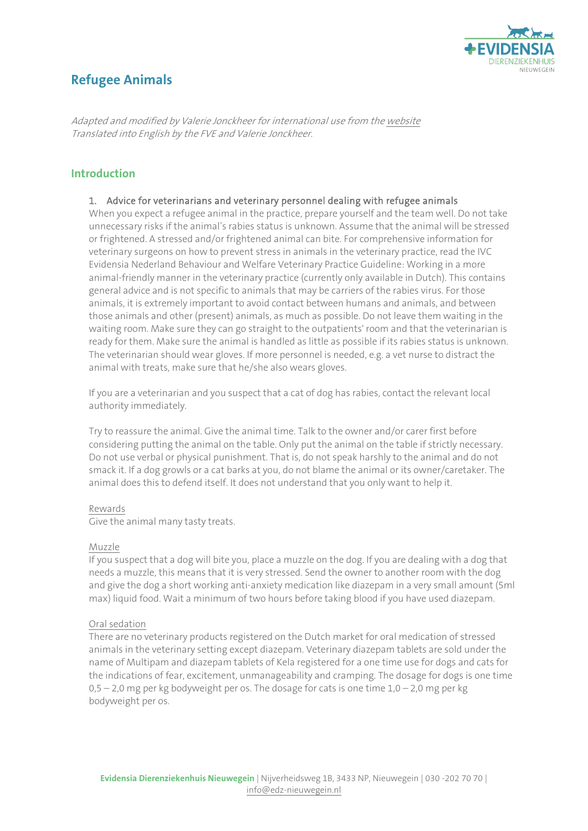

# **Refugee Animals**

Adapted and modified by Valerie Jonckheer for international use from th[e website](https://www.edz-nieuwegein.nl/disciplines/veterinaire-gedragsgeneeskunde/gevlucht-dier)  Translated into English by the FVE and Valerie Jonckheer.

# **Introduction**

#### 1. Advice for veterinarians and veterinary personnel dealing with refugee animals

When you expect a refugee animal in the practice, prepare yourself and the team well. Do not take unnecessary risks if the animal's rabies status is unknown. Assume that the animal will be stressed or frightened. A stressed and/or frightened animal can bite. For comprehensive information for veterinary surgeons on how to prevent stress in animals in the veterinary practice, read the IVC Evidensia Nederland Behaviour and Welfare Veterinary Practice Guideline: Working in a more animal-friendly manner in the veterinary practice (currently only available in Dutch). This contains general advice and is not specific to animals that may be carriers of the rabies virus. For those animals, it is extremely important to avoid contact between humans and animals, and between those animals and other (present) animals, as much as possible. Do not leave them waiting in the waiting room. Make sure they can go straight to the outpatients' room and that the veterinarian is ready for them. Make sure the animal is handled as little as possible if its rabies status is unknown. The veterinarian should wear gloves. If more personnel is needed, e.g. a vet nurse to distract the animal with treats, make sure that he/she also wears gloves.

If you are a veterinarian and you suspect that a cat of dog has rabies, contact the relevant local authority immediately.

Try to reassure the animal. Give the animal time. Talk to the owner and/or carer first before considering putting the animal on the table. Only put the animal on the table if strictly necessary. Do not use verbal or physical punishment. That is, do not speak harshly to the animal and do not smack it. If a dog growls or a cat barks at you, do not blame the animal or its owner/caretaker. The animal does this to defend itself. It does not understand that you only want to help it.

#### Rewards

Give the animal many tasty treats.

#### Muzzle

If you suspect that a dog will bite you, place a muzzle on the dog. If you are dealing with a dog that needs a muzzle, this means that it is very stressed. Send the owner to another room with the dog and give the dog a short working anti-anxiety medication like diazepam in a very small amount (5ml max) liquid food. Wait a minimum of two hours before taking blood if you have used diazepam.

#### Oral sedation

There are no veterinary products registered on the Dutch market for oral medication of stressed animals in the veterinary setting except diazepam. Veterinary diazepam tablets are sold under the name of Multipam and diazepam tablets of Kela registered for a one time use for dogs and cats for the indications of fear, excitement, unmanageability and cramping. The dosage for dogs is one time  $0.5 - 2.0$  mg per kg bodyweight per os. The dosage for cats is one time  $1.0 - 2.0$  mg per kg bodyweight per os.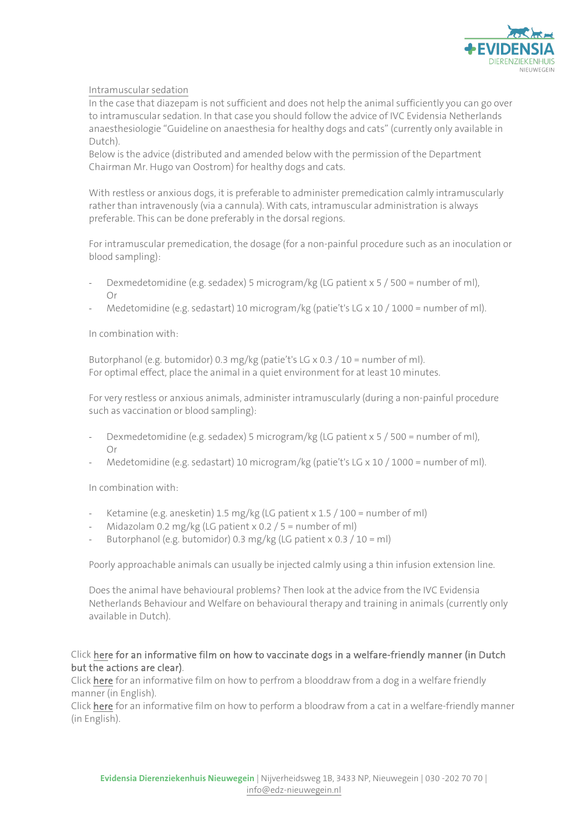

# Intramuscular sedation

In the case that diazepam is not sufficient and does not help the animal sufficiently you can go over to intramuscular sedation. In that case you should follow the advice of IVC Evidensia Netherlands anaesthesiologie "Guideline on anaesthesia for healthy dogs and cats" (currently only available in Dutch).

Below is the advice (distributed and amended below with the permission of the Department Chairman Mr. Hugo van Oostrom) for healthy dogs and cats.

With restless or anxious dogs, it is preferable to administer premedication calmly intramuscularly rather than intravenously (via a cannula). With cats, intramuscular administration is always preferable. This can be done preferably in the dorsal regions.

For intramuscular premedication, the dosage (for a non-painful procedure such as an inoculation or blood sampling):

- Dexmedetomidine (e.g. sedadex) 5 microgram/kg (LG patient x 5 / 500 = number of ml), Or
- Medetomidine (e.g. sedastart) 10 microgram/kg (patie't's LG  $\times$  10 / 1000 = number of ml).

### In combination with:

Butorphanol (e.g. butomidor) 0.3 mg/kg (patie't's LG x 0.3 / 10 = number of ml). For optimal effect, place the animal in a quiet environment for at least 10 minutes.

For very restless or anxious animals, administer intramuscularly (during a non-painful procedure such as vaccination or blood sampling):

- Dexmedetomidine (e.g. sedadex) 5 microgram/kg (LG patient x 5 / 500 = number of ml), Or
- Medetomidine (e.g. sedastart) 10 microgram/kg (patie't's LG  $\times$  10 / 1000 = number of ml).

In combination with:

- Ketamine (e.g. anesketin) 1.5 mg/kg (LG patient x  $1.5 / 100$  = number of ml)
- Midazolam 0.2 mg/kg (LG patient x 0.2 / 5 = number of ml)
- Butorphanol (e.g. butomidor) 0.3 mg/kg (LG patient x 0.3 / 10 = ml)

Poorly approachable animals can usually be injected calmly using a thin infusion extension line.

Does the animal have behavioural problems? Then look at the advice from the IVC Evidensia Netherlands Behaviour and Welfare on behavioural therapy and training in animals (currently only available in Dutch).

# Clic[k here](https://youtu.be/jCBCg47udTY) for an informative film on how to vaccinate dogs in a welfare-friendly manner (in Dutch but the actions are clear).

Clic[k here f](https://youtu.be/5zZKhG87Iuw)or an informative film on how to perfrom a blooddraw from a dog in a welfare friendly manner (in English).

Clic[k here f](https://youtu.be/O3ge7kUHF94)or an informative film on how to perform a bloodraw from a cat in a welfare-friendly manner (in English).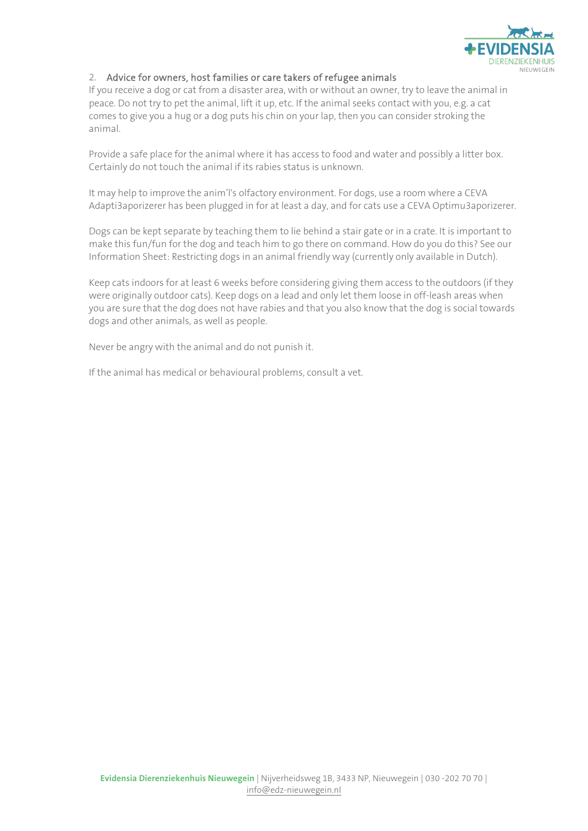

# 2. Advice for owners, host families or care takers of refugee animals

If you receive a dog or cat from a disaster area, with or without an owner, try to leave the animal in peace. Do not try to pet the animal, lift it up, etc. If the animal seeks contact with you, e.g. a cat comes to give you a hug or a dog puts his chin on your lap, then you can consider stroking the animal.

Provide a safe place for the animal where it has access to food and water and possibly a litter box. Certainly do not touch the animal if its rabies status is unknown.

It may help to improve the anim'l's olfactory environment. For dogs, use a room where a CEVA Adapti3aporizerer has been plugged in for at least a day, and for cats use a CEVA Optimu3aporizerer.

Dogs can be kept separate by teaching them to lie behind a stair gate or in a crate. It is important to make this fun/fun for the dog and teach him to go there on command. How do you do this? See our Information Sheet: Restricting dogs in an animal friendly way (currently only available in Dutch).

Keep cats indoors for at least 6 weeks before considering giving them access to the outdoors (if they were originally outdoor cats). Keep dogs on a lead and only let them loose in off-leash areas when you are sure that the dog does not have rabies and that you also know that the dog is social towards dogs and other animals, as well as people.

Never be angry with the animal and do not punish it.

If the animal has medical or behavioural problems, consult a vet.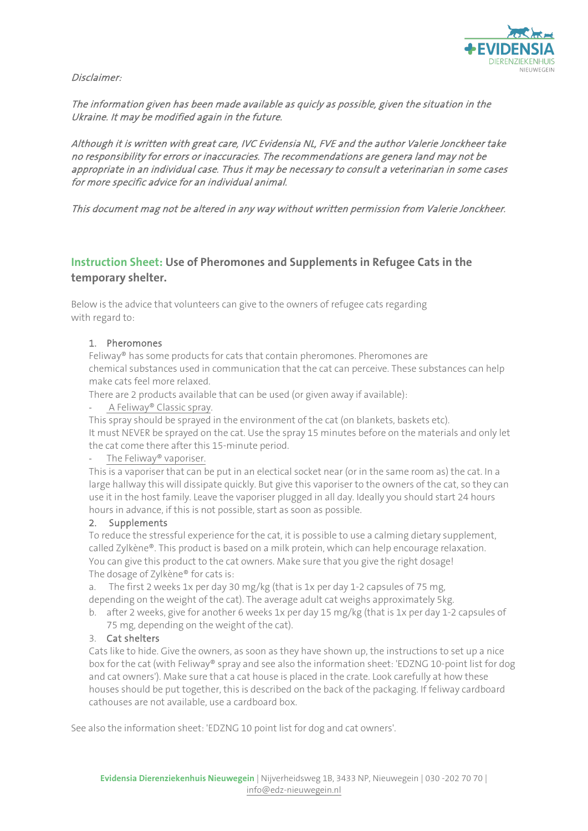

Disclaimer:

The information given has been made available as quicly as possible, given the situation in the Ukraine. It may be modified again in the future.

Although it is written with great care, IVC Evidensia NL, FVE and the author Valerie Jonckheer take no responsibility for errors or inaccuracies. The recommendations are genera land may not be appropriate in an individual case. Thus it may be necessary to consult a veterinarian in some cases for more specific advice for an individual animal.

This document mag not be altered in any way without written permission from Valerie Jonckheer.

# **Instruction Sheet: Use of Pheromones and Supplements in Refugee Cats in the temporary shelter.**

Below is the advice that volunteers can give to the owners of refugee cats regarding with regard to:

# 1. Pheromones

Feliway® has some products for cats that contain pheromones. Pheromones are chemical substances used in communication that the cat can perceive. These substances can help make cats feel more relaxed.

There are 2 products available that can be used (or given away if available):

- A Feliway® Classic spray.

This spray should be sprayed in the environment of the cat (on blankets, baskets etc). It must NEVER be sprayed on the cat. Use the spray 15 minutes before on the materials and only let the cat come there after this 15-minute period.

## The Feliway® vaporiser.

This is a vaporiser that can be put in an electical socket near (or in the same room as) the cat. In a large hallway this will dissipate quickly. But give this vaporiser to the owners of the cat, so they can use it in the host family. Leave the vaporiser plugged in all day. Ideally you should start 24 hours hours in advance, if this is not possible, start as soon as possible.

#### 2. Supplements

To reduce the stressful experience for the cat, it is possible to use a calming dietary supplement, called Zylkène®. This product is based on a milk protein, which can help encourage relaxation. You can give this product to the cat owners. Make sure that you give the right dosage! The dosage of Zylkène® for cats is:

a. The first 2 weeks 1x per day 30 mg/kg (that is 1x per day 1-2 capsules of 75 mg, depending on the weight of the cat). The average adult cat weighs approximately 5kg.

b. after 2 weeks, give for another 6 weeks 1x per day 15 mg/kg (that is 1x per day 1-2 capsules of 75 mg, depending on the weight of the cat).

#### 3. Cat shelters

Cats like to hide. Give the owners, as soon as they have shown up, the instructions to set up a nice box for the cat (with Feliway® spray and see also the information sheet: 'EDZNG 10-point list for dog and cat owners'). Make sure that a cat house is placed in the crate. Look carefully at how these houses should be put together, this is described on the back of the packaging. If feliway cardboard cathouses are not available, use a cardboard box.

See also the information sheet: 'EDZNG 10 point list for dog and cat owners'.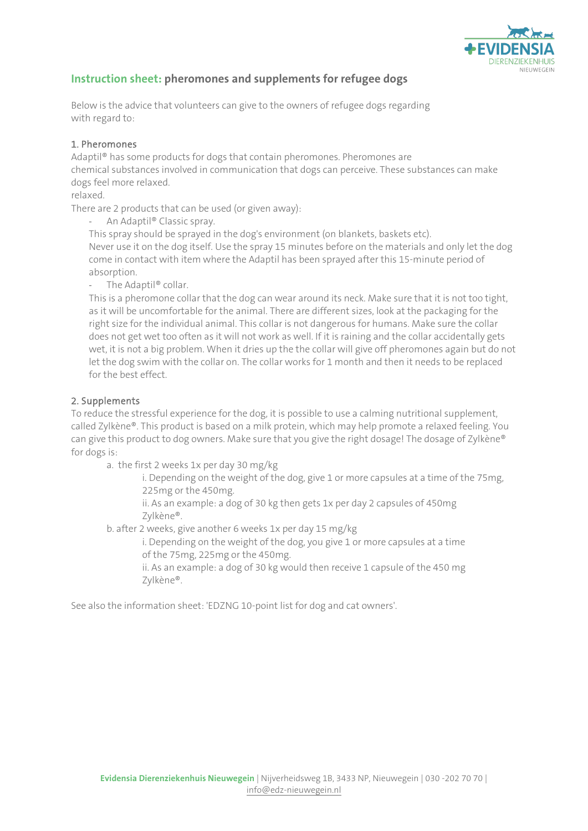

# **Instruction sheet: pheromones and supplements for refugee dogs**

Below is the advice that volunteers can give to the owners of refugee dogs regarding with regard to:

# 1. Pheromones

Adaptil® has some products for dogs that contain pheromones. Pheromones are chemical substances involved in communication that dogs can perceive. These substances can make dogs feel more relaxed.

relaxed.

There are 2 products that can be used (or given away):

An Adaptil® Classic spray.

This spray should be sprayed in the dog's environment (on blankets, baskets etc). Never use it on the dog itself. Use the spray 15 minutes before on the materials and only let the dog come in contact with item where the Adaptil has been sprayed after this 15-minute period of absorption.

- The Adaptil® collar.

This is a pheromone collar that the dog can wear around its neck. Make sure that it is not too tight, as it will be uncomfortable for the animal. There are different sizes, look at the packaging for the right size for the individual animal. This collar is not dangerous for humans. Make sure the collar does not get wet too often as it will not work as well. If it is raining and the collar accidentally gets wet, it is not a big problem. When it dries up the the collar will give off pheromones again but do not let the dog swim with the collar on. The collar works for 1 month and then it needs to be replaced for the best effect.

# 2. Supplements

To reduce the stressful experience for the dog, it is possible to use a calming nutritional supplement, called Zylkène®. This product is based on a milk protein, which may help promote a relaxed feeling. You can give this product to dog owners. Make sure that you give the right dosage! The dosage of Zylkène® for dogs is:

a. the first 2 weeks 1x per day 30 mg/kg

i. Depending on the weight of the dog, give 1 or more capsules at a time of the 75mg, 225mg or the 450mg.

ii. As an example: a dog of 30 kg then gets 1x per day 2 capsules of 450mg Zylkène®.

b. after 2 weeks, give another 6 weeks 1x per day 15 mg/kg

i. Depending on the weight of the dog, you give 1 or more capsules at a time of the 75mg, 225mg or the 450mg.

ii. As an example: a dog of 30 kg would then receive 1 capsule of the 450 mg Zylkène®.

See also the information sheet: 'EDZNG 10-point list for dog and cat owners'.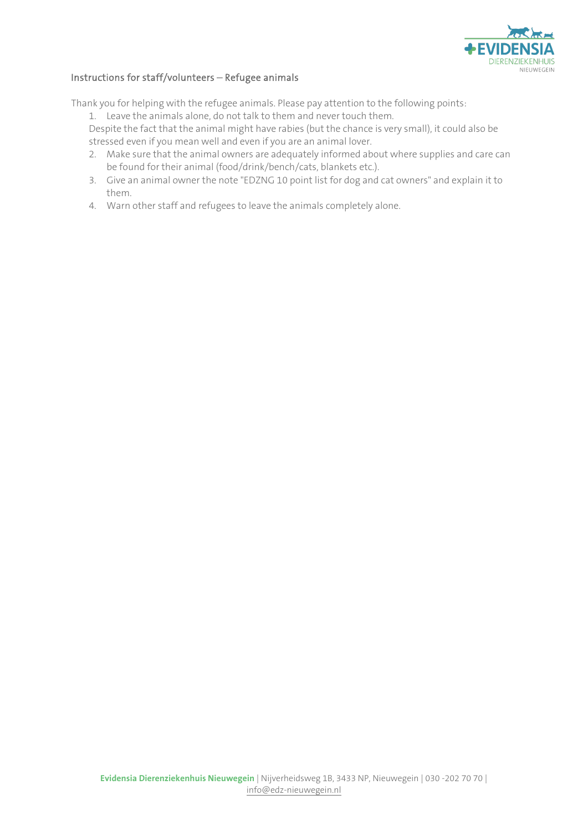

# Instructions for staff/volunteers – Refugee animals

Thank you for helping with the refugee animals. Please pay attention to the following points:

1. Leave the animals alone, do not talk to them and never touch them.

Despite the fact that the animal might have rabies (but the chance is very small), it could also be stressed even if you mean well and even if you are an animal lover.

- 2. Make sure that the animal owners are adequately informed about where supplies and care can be found for their animal (food/drink/bench/cats, blankets etc.).
- 3. Give an animal owner the note "EDZNG 10 point list for dog and cat owners" and explain it to them.
- 4. Warn other staff and refugees to leave the animals completely alone.